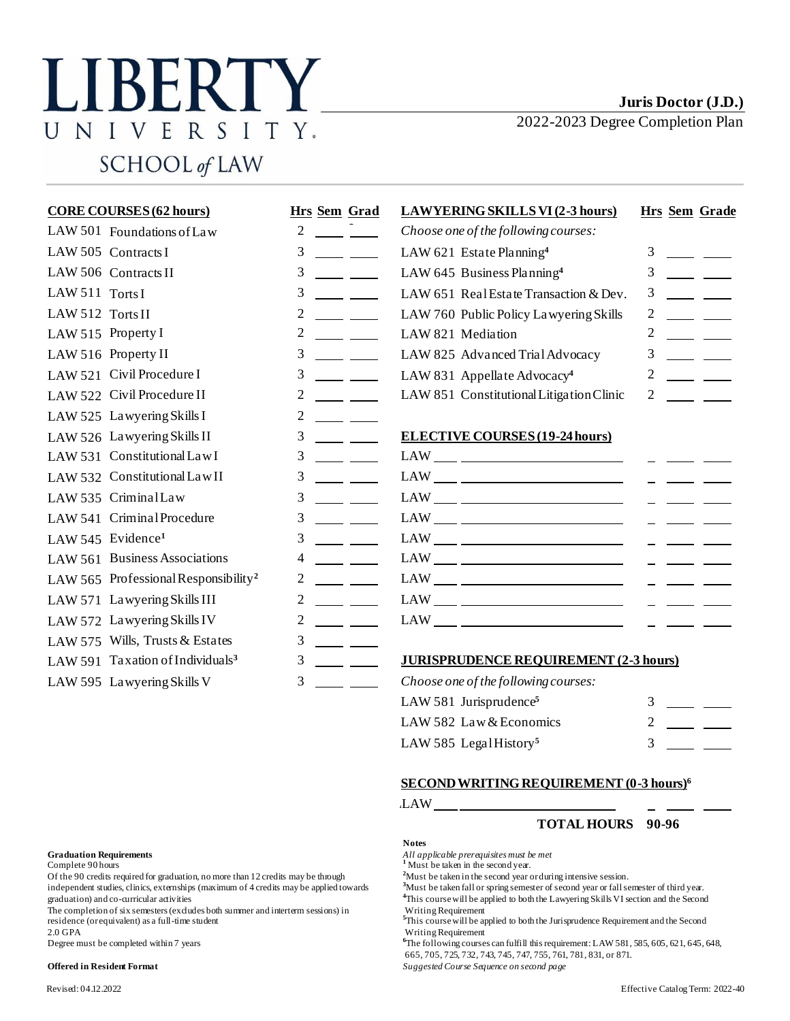# LIBERTY UNIVERSITY. SCHOOL of LAW

2022-2023 Degree Completion Plan

| <b>CORE COURSES (62 hours)</b>                   | <b>Hrs</b> Sem Grad | <b>LAWYERING SKILLS VI (2-3 hours)</b>                                                                                                                                                                                                                                                                                                                                                                                                          | <b>Hrs</b> Sem Grade                                                                                                                                                                                                                                                                                                                                                                         |
|--------------------------------------------------|---------------------|-------------------------------------------------------------------------------------------------------------------------------------------------------------------------------------------------------------------------------------------------------------------------------------------------------------------------------------------------------------------------------------------------------------------------------------------------|----------------------------------------------------------------------------------------------------------------------------------------------------------------------------------------------------------------------------------------------------------------------------------------------------------------------------------------------------------------------------------------------|
| LAW 501 Foundations of Law                       | 2                   | Choose one of the following courses:                                                                                                                                                                                                                                                                                                                                                                                                            |                                                                                                                                                                                                                                                                                                                                                                                              |
| LAW 505 Contracts I                              | 3                   | LAW 621 Estate Planning <sup>4</sup>                                                                                                                                                                                                                                                                                                                                                                                                            | 3                                                                                                                                                                                                                                                                                                                                                                                            |
| LAW 506 Contracts II                             | 3                   | LAW 645 Business Planning <sup>4</sup>                                                                                                                                                                                                                                                                                                                                                                                                          | 3                                                                                                                                                                                                                                                                                                                                                                                            |
| LAW 511 Torts I                                  | 3                   | LAW 651 Real Estate Transaction & Dev.                                                                                                                                                                                                                                                                                                                                                                                                          | 3                                                                                                                                                                                                                                                                                                                                                                                            |
| LAW 512 Torts II                                 | 2                   | LAW 760 Public Policy Lawyering Skills                                                                                                                                                                                                                                                                                                                                                                                                          | $\overline{c}$                                                                                                                                                                                                                                                                                                                                                                               |
| LAW 515 Property I                               | $\overline{c}$      | LAW 821 Mediation                                                                                                                                                                                                                                                                                                                                                                                                                               | $\overline{c}$                                                                                                                                                                                                                                                                                                                                                                               |
| LAW 516 Property II                              | 3                   | LAW 825 Advanced Trial Advocacy                                                                                                                                                                                                                                                                                                                                                                                                                 | 3                                                                                                                                                                                                                                                                                                                                                                                            |
| LAW 521 Civil Procedure I                        | 3                   | LAW 831 Appellate Advocacy <sup>4</sup>                                                                                                                                                                                                                                                                                                                                                                                                         | $\overline{2}$                                                                                                                                                                                                                                                                                                                                                                               |
| LAW 522 Civil Procedure II                       | 2                   | LAW 851 Constitutional Litigation Clinic                                                                                                                                                                                                                                                                                                                                                                                                        | $\overline{c}$                                                                                                                                                                                                                                                                                                                                                                               |
| LAW 525 Lawyering Skills I                       | $\overline{c}$      |                                                                                                                                                                                                                                                                                                                                                                                                                                                 |                                                                                                                                                                                                                                                                                                                                                                                              |
| LAW 526 Lawyering Skills II                      | 3                   | <b>ELECTIVE COURSES (19-24 hours)</b>                                                                                                                                                                                                                                                                                                                                                                                                           |                                                                                                                                                                                                                                                                                                                                                                                              |
| LAW 531 Constitutional Law I                     | 3                   |                                                                                                                                                                                                                                                                                                                                                                                                                                                 |                                                                                                                                                                                                                                                                                                                                                                                              |
| LAW 532 Constitutional Law II                    | 3                   | $\begin{tabular}{c} LAW \begin{tabular}{@{}c@{}} \hline \multicolumn{3}{@{}c@{}} \multicolumn{3}{@{}c@{}} \multicolumn{3}{@{}c@{}} \multicolumn{3}{@{}c@{}} \multicolumn{3}{@{}c@{}} \multicolumn{3}{@{}c@{}} \multicolumn{3}{@{}c@{}} \multicolumn{3}{@{}c@{}} \multicolumn{3}{@{}c@{}} \multicolumn{3}{@{}c@{}} \multicolumn{3}{@{}c@{}} \multicolumn{3}{@{}c@{}} \multicolumn{3}{@{}c@{}} \multicolumn{3}{@{}c@{}} \multicolumn{3}{@{}c@{}}$ |                                                                                                                                                                                                                                                                                                                                                                                              |
| LAW 535 CriminalLaw                              | 3                   | $\mathsf{LAW} \_\_\_\_ \_\_ \_\_ \_\_$                                                                                                                                                                                                                                                                                                                                                                                                          |                                                                                                                                                                                                                                                                                                                                                                                              |
| LAW 541 Criminal Procedure                       | 3                   | $\mathsf{LAW} \_\!\_ \_\!\_ \_\!\_$                                                                                                                                                                                                                                                                                                                                                                                                             |                                                                                                                                                                                                                                                                                                                                                                                              |
| LAW 545 Evidence <sup>1</sup>                    | 3                   | $\text{LAW} \_\_\_\_\_\_\_\_\$                                                                                                                                                                                                                                                                                                                                                                                                                  | $\frac{1}{2} \frac{1}{2} \frac{1}{2} \frac{1}{2} \frac{1}{2} \frac{1}{2} \frac{1}{2} \frac{1}{2} \frac{1}{2} \frac{1}{2} \frac{1}{2} \frac{1}{2} \frac{1}{2} \frac{1}{2} \frac{1}{2} \frac{1}{2} \frac{1}{2} \frac{1}{2} \frac{1}{2} \frac{1}{2} \frac{1}{2} \frac{1}{2} \frac{1}{2} \frac{1}{2} \frac{1}{2} \frac{1}{2} \frac{1}{2} \frac{1}{2} \frac{1}{2} \frac{1}{2} \frac{1}{2} \frac{$ |
| LAW 561 Business Associations                    | 4                   |                                                                                                                                                                                                                                                                                                                                                                                                                                                 |                                                                                                                                                                                                                                                                                                                                                                                              |
| LAW 565 Professional Responsibility <sup>2</sup> | 2                   |                                                                                                                                                                                                                                                                                                                                                                                                                                                 |                                                                                                                                                                                                                                                                                                                                                                                              |
| LAW 571 Lawyering Skills III                     | $\overline{2}$      | $\begin{tabular}{c} \bf{LAW} \end{tabular} \begin{tabular}{c} \bf{LAW} \end{tabular}$                                                                                                                                                                                                                                                                                                                                                           |                                                                                                                                                                                                                                                                                                                                                                                              |
| LAW 572 Lawyering Skills IV                      | $\overline{c}$      | $\begin{picture}(150,10) \put(0,0){\dashbox{0.5}(10,0){ }} \put(15,0){\circle{10}} \put(15,0){\circle{10}} \put(15,0){\circle{10}} \put(15,0){\circle{10}} \put(15,0){\circle{10}} \put(15,0){\circle{10}} \put(15,0){\circle{10}} \put(15,0){\circle{10}} \put(15,0){\circle{10}} \put(15,0){\circle{10}} \put(15,0){\circle{10}} \put(15,0){\circle{10}} \put(15,0){\circle{10}} \put(15$                                                     |                                                                                                                                                                                                                                                                                                                                                                                              |
| LAW 575 Wills, Trusts & Estates                  | 3                   |                                                                                                                                                                                                                                                                                                                                                                                                                                                 |                                                                                                                                                                                                                                                                                                                                                                                              |
| LAW 591 Taxation of Individuals <sup>3</sup>     | 3                   | <b>JURISPRUDENCE REQUIREMENT (2-3 hours)</b>                                                                                                                                                                                                                                                                                                                                                                                                    |                                                                                                                                                                                                                                                                                                                                                                                              |
|                                                  |                     |                                                                                                                                                                                                                                                                                                                                                                                                                                                 |                                                                                                                                                                                                                                                                                                                                                                                              |

LAW 595 Lawyering Skills V 3 \_\_\_\_\_ Choose one of the following courses:

| LAW 581 Jurisprudence <sup>5</sup> |  |  |
|------------------------------------|--|--|
| LAW 582 Law & Economics            |  |  |
| LAW 585 Legal History <sup>5</sup> |  |  |

### **SECOND WRITING REQUIREMENT (0-3 hours)<sup>6</sup>**

LAW\_

## **TOTAL HOURS 90-96**

#### **Notes**

**Graduation Requirements**<br> **Complete 90 hours 1** *All applicable prerequisites must be met*<br> **1** *Must be taken in the second year.* 

<sup>4</sup>This course will be applied to both the Lawyering Skills VI section and the Second

<sup>6</sup>The following courses can fulfill this requirement: LAW 581, 585, 605, 621, 645, 648, 665, 705, 725, 732, 743, 745, 747, 755, 761, 781, 831, or 871.

**Offered in Resident Format** *Suggested Course Sequence on second page*

Of the 90 credits required for graduation, no more than 12 credits may be through <sup>2</sup>Must be taken in the second year or during intensive session.<br>
independent studies, clinics, externships (maximum of 4 credits may be app independent studies, clinics, externships (maximum of 4 credits may be applied towards graduation) and co-curricular activities

The completion of six semesters (excludes both summer and interterm sessions) in Writing Requirement residence (or equivalent) as a full-time student **<sup>5</sup>**This course will be applied to both the Jurisprudence Requirement and the Second

2.0 GPA Writing Requirement<br>Degree must be completed within 7 years and the set of the following course of the following course